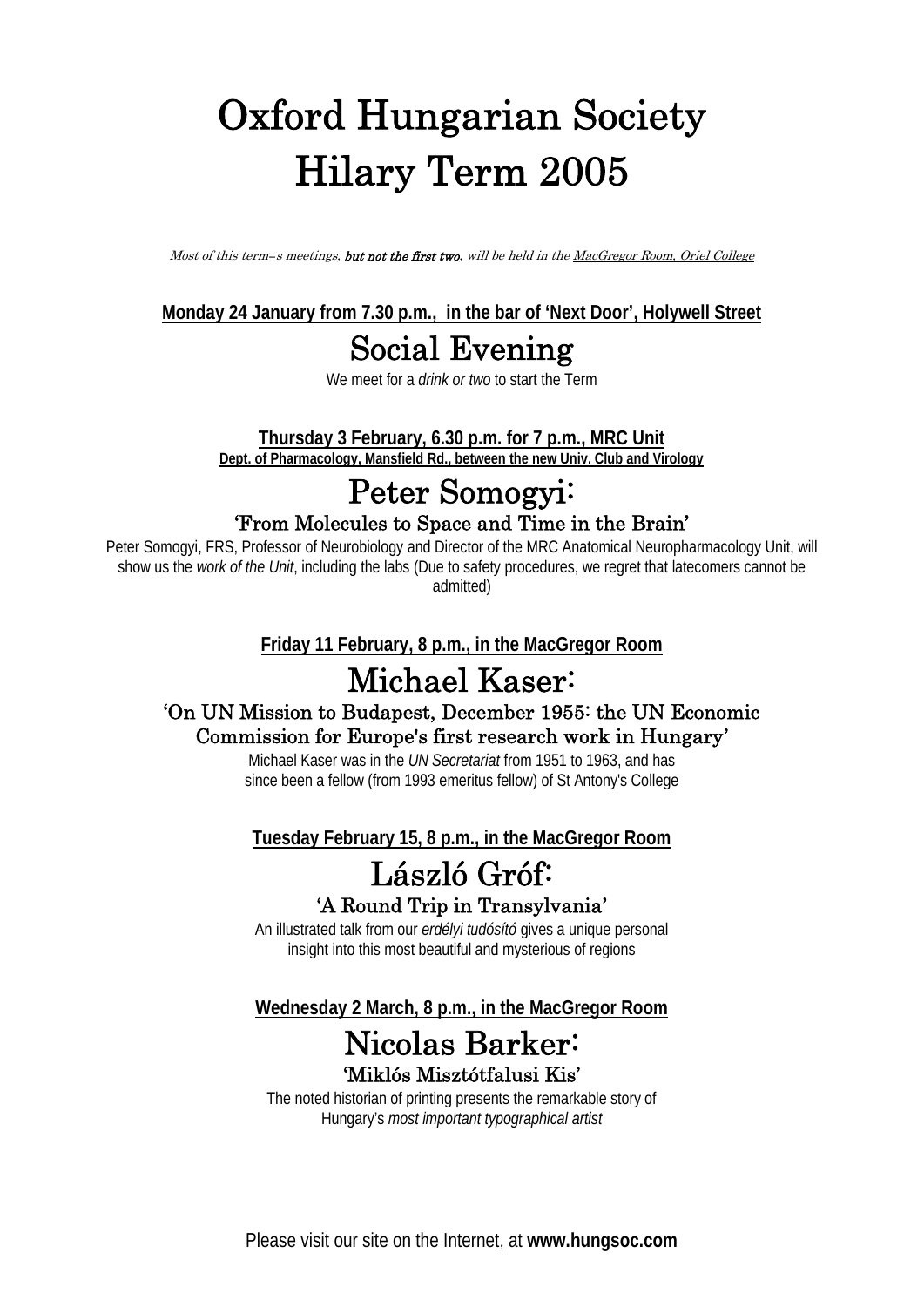# **Oxford Hungarian Society Hilary Term 2005**

*Most of this term*=*s meetings, but not the first two, will be held in the MacGregor Room, Oriel College*

**Monday 24 January from 7.30 p.m., in the bar of 'Next Door', Holywell Street**

### **Social Evening**

We meet for a *drink or two* to start the Term

**Thursday 3 February, 6.30 p.m. for 7 p.m., MRC Unit Dept. of Pharmacology, Mansfield Rd., between the new Univ. Club and Virology**

## **Peter Somogyi:**

**'From Molecules to Space and Time in the Brain'**

Peter Somogyi, FRS, Professor of Neurobiology and Director of the MRC Anatomical Neuropharmacology Unit, will show us the *work of the Unit*, including the labs (Due to safety procedures, we regret that latecomers cannot be admitted)

**Friday 11 February, 8 p.m., in the MacGregor Room**

## **Michael Kaser:**

#### **'On UN Mission to Budapest, December 1955: the UN Economic Commission for Europe's first research work in Hungary'**

Michael Kaser was in the *UN Secretariat* from 1951 to 1963, and has since been a fellow (from 1993 emeritus fellow) of St Antony's College

**Tuesday February 15, 8 p.m., in the MacGregor Room**

# **László Gróf:**

#### **'A Round Trip in Transylvania'**

An illustrated talk from our *erdélyi tudósító* gives a unique personal insight into this most beautiful and mysterious of regions

**Wednesday 2 March, 8 p.m., in the MacGregor Room**

#### **Nicolas Barker: 'Miklós Misztótfalusi Kis'**

The noted historian of printing presents the remarkable story of Hungary's *most important typographical artist*